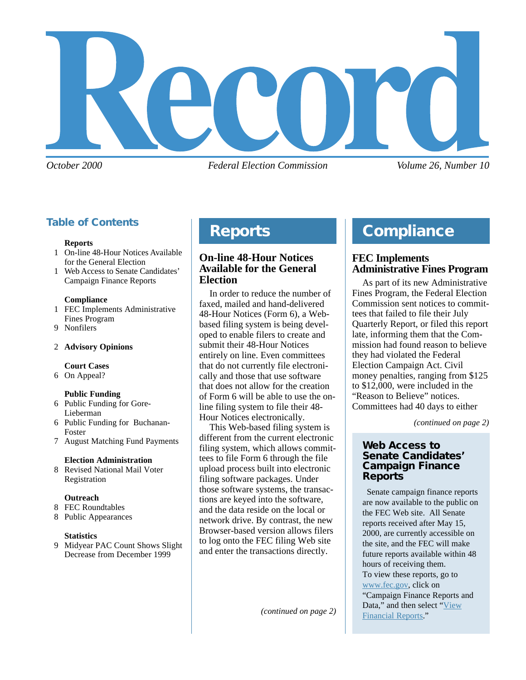

*October 2000 Federal Election Commission Volume 26, Number 10*

## **Table of Contents**

#### **Reports**

- 1 On-line 48-Hour Notices Available for the General Election
- 1 Web Access to Senate Candidates' Campaign Finance Reports

#### **Compliance**

- 1 FEC Implements Administrative Fines Program
- 9 Nonfilers

#### 2 **Advisory Opinions**

#### **Court Cases**

6 On Appeal?

#### **Public Funding**

- 6 Public Funding for Gore-Lieberman
- 6 Public Funding for Buchanan-Foster
- 7 August Matching Fund Payments

#### **Election Administration**

8 Revised National Mail Voter Registration

#### **Outreach**

- 8 FEC Roundtables
- 8 Public Appearances

#### **Statistics**

9 Midyear PAC Count Shows Slight Decrease from December 1999

## **Compliance Reports**

### **On-line 48-Hour Notices Available for the General Election**

In order to reduce the number of faxed, mailed and hand-delivered 48-Hour Notices (Form 6), a Webbased filing system is being developed to enable filers to create and submit their 48-Hour Notices entirely on line. Even committees that do not currently file electronically and those that use software that does not allow for the creation of Form 6 will be able to use the online filing system to file their 48- Hour Notices electronically.

This Web-based filing system is different from the current electronic filing system, which allows committees to file Form 6 through the file upload process built into electronic filing software packages. Under those software systems, the transactions are keyed into the software, and the data reside on the local or network drive. By contrast, the new Browser-based version allows filers to log onto the FEC filing Web site and enter the transactions directly.

## **Compliance**

### **FEC Implements Administrative Fines Program**

As part of its new Administrative Fines Program, the Federal Election Commission sent notices to committees that failed to file their July Quarterly Report, or filed this report late, informing them that the Commission had found reason to believe they had violated the Federal Election Campaign Act. Civil money penalties, ranging from \$125 to \$12,000, were included in the "Reason to Believe" notices. Committees had 40 days to either

*(continued on page 2)*

#### **Web Access to Senate Candidates' Campaign Finance Reports**

 Senate campaign finance reports are now available to the public on the FEC Web site. All Senate reports received after May 15, 2000, are currently accessible on the site, and the FEC will make future reports available within 48 hours of receiving them. To view these reports, go to [www.fec.gov](http://www.fec.gov/), click on "Campaign Finance Reports and Data," and then select ["View](http://herndon1.sdrdc.com/info.html) [Financial Reports](http://herndon1.sdrdc.com/info.html)."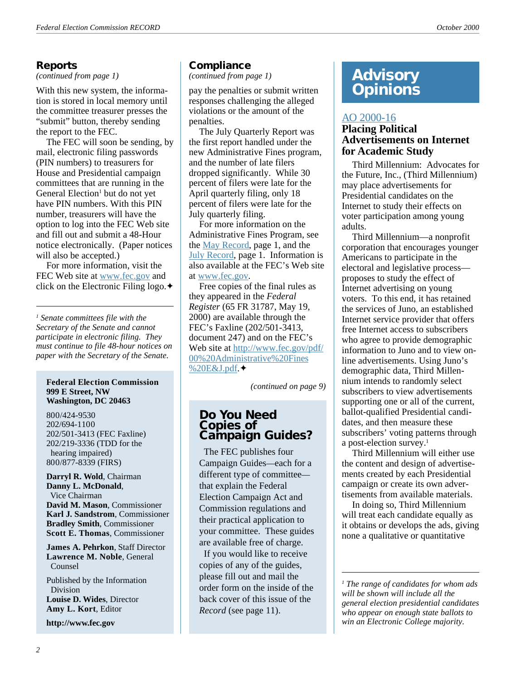**Reports**<br>(continued from page 1)

With this new system, the information is stored in local memory until the committee treasurer presses the "submit" button, thereby sending the report to the FEC.

The FEC will soon be sending, by mail, electronic filing passwords (PIN numbers) to treasurers for House and Presidential campaign committees that are running in the General Election<sup>1</sup> but do not yet have PIN numbers. With this PIN number, treasurers will have the option to log into the FEC Web site and fill out and submit a 48-Hour notice electronically. (Paper notices will also be accepted.)

For more information, visit the FEC Web site at [www.fec.gov](http://www.fec.gov/) and click on the Electronic Filing logo.✦

*1 Senate committees file with the Secretary of the Senate and cannot participate in electronic filing. They must continue to file 48-hour notices on paper with the Secretary of the Senate.*

#### **Federal Election Commission 999 E Street, NW Washington, DC 20463**

800/424-9530 202/694-1100 202/501-3413 (FEC Faxline) 202/219-3336 (TDD for the hearing impaired) 800/877-8339 (FIRS)

**Darryl R. Wold**, Chairman **Danny L. McDonald**, Vice Chairman **David M. Mason**, Commissioner **Karl J. Sandstrom**, Commissioner **Bradley Smith**, Commissioner **Scott E. Thomas**, Commissioner

**James A. Pehrkon**, Staff Director **Lawrence M. Noble**, General Counsel

Published by the Information Division **Louise D. Wides**, Director **Amy L. Kort**, Editor

**http://www.fec.gov**

### **Compliance**

*(continued from page 1)*

pay the penalties or submit written responses challenging the alleged violations or the amount of the penalties.

The July Quarterly Report was the first report handled under the new Administrative Fines program, and the number of late filers dropped significantly. While 30 percent of filers were late for the April quarterly filing, only 18 percent of filers were late for the July quarterly filing.

For more information on the Administrative Fines Program, see the [May Record,](http://www.fec.gov/pdf/may00.pdf) page 1, and the [July Record](http://www.fec.gov/pdf/July00.pdf), page 1. Information is also available at the FEC's Web site at [www.fec.gov.](http://www.fec.gov/)

Free copies of the final rules as they appeared in the *Federal Register* (65 FR 31787, May 19, 2000) are available through the FEC's Faxline (202/501-3413, document 247) and on the FEC's Web site at [http://www.fec.gov/pdf/](/pdf/nprm/admin_fines_1/00_Administrative_Fines_E_J.pdf) [00%20Administrative%20Fines](/pdf/nprm/admin_fines_1/00_Administrative_Fines_E_J.pdf) [%20E&J.pdf](/pdf/nprm/admin_fines_1/00_Administrative_Fines_E_J.pdf).✦

*(continued on page 9)*

### **Do You Need Copies of** *Campaign Guides?*

 The FEC publishes four Campaign Guides—each for a different type of committee that explain the Federal Election Campaign Act and Commission regulations and their practical application to your committee. These guides are available free of charge.

 If you would like to receive copies of any of the guides, please fill out and mail the order form on the inside of the back cover of this issue of the *Record* (see page 11).

## *(continued from page 1)* **Advisory Opinions**

### [AO 2000-16](http://saos.fec.gov/aodocs/2000-16.pdf)

#### **Placing Political Advertisements on Internet for Academic Study**

Third Millennium: Advocates for the Future, Inc., (Third Millennium) may place advertisements for Presidential candidates on the Internet to study their effects on voter participation among young adults.

Third Millennium—a nonprofit corporation that encourages younger Americans to participate in the electoral and legislative process proposes to study the effect of Internet advertising on young voters. To this end, it has retained the services of Juno, an established Internet service provider that offers free Internet access to subscribers who agree to provide demographic information to Juno and to view online advertisements. Using Juno's demographic data, Third Millennium intends to randomly select subscribers to view advertisements supporting one or all of the current, ballot-qualified Presidential candidates, and then measure these subscribers' voting patterns through a post-election survey.<sup>1</sup>

Third Millennium will either use the content and design of advertisements created by each Presidential campaign or create its own advertisements from available materials.

In doing so, Third Millennium will treat each candidate equally as it obtains or develops the ads, giving none a qualitative or quantitative

*1 The range of candidates for whom ads will be shown will include all the general election presidential candidates who appear on enough state ballots to win an Electronic College majority.*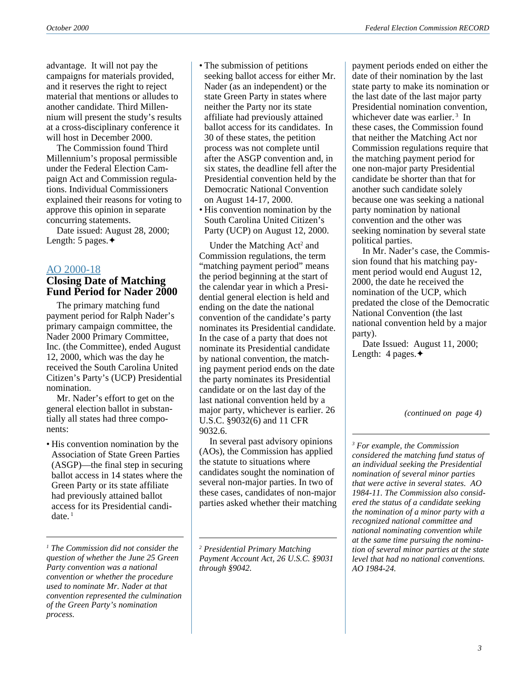advantage. It will not pay the campaigns for materials provided, and it reserves the right to reject material that mentions or alludes to another candidate. Third Millennium will present the study's results at a cross-disciplinary conference it will host in December 2000.

The Commission found Third Millennium's proposal permissible under the Federal Election Campaign Act and Commission regulations. Individual Commissioners explained their reasons for voting to approve this opinion in separate concurring statements.

Date issued: August 28, 2000; Length: 5 pages.✦

## [AO 2000-18](http://saos.fec.gov/aodocs/2000-18.pdf)

## **Closing Date of Matching Fund Period for Nader 2000**

The primary matching fund payment period for Ralph Nader's primary campaign committee, the Nader 2000 Primary Committee, Inc. (the Committee), ended August 12, 2000, which was the day he received the South Carolina United Citizen's Party's (UCP) Presidential nomination.

Mr. Nader's effort to get on the general election ballot in substantially all states had three components:

• His convention nomination by the Association of State Green Parties (ASGP)—the final step in securing ballot access in 14 states where the Green Party or its state affiliate had previously attained ballot access for its Presidential candi $date.$ <sup>1</sup>

*1 The Commission did not consider the question of whether the June 25 Green Party convention was a national convention or whether the procedure used to nominate Mr. Nader at that convention represented the culmination of the Green Party's nomination process.*

- The submission of petitions seeking ballot access for either Mr. Nader (as an independent) or the state Green Party in states where neither the Party nor its state affiliate had previously attained ballot access for its candidates. In 30 of these states, the petition process was not complete until after the ASGP convention and, in six states, the deadline fell after the Presidential convention held by the Democratic National Convention on August 14-17, 2000.
- His convention nomination by the South Carolina United Citizen's Party (UCP) on August 12, 2000.

Under the Matching Act<sup>2</sup> and Commission regulations, the term "matching payment period" means the period beginning at the start of the calendar year in which a Presidential general election is held and ending on the date the national convention of the candidate's party nominates its Presidential candidate. In the case of a party that does not nominate its Presidential candidate by national convention, the matching payment period ends on the date the party nominates its Presidential candidate or on the last day of the last national convention held by a major party, whichever is earlier. 26 U.S.C. §9032(6) and 11 CFR 9032.6.

In several past advisory opinions (AOs), the Commission has applied the statute to situations where candidates sought the nomination of several non-major parties. In two of these cases, candidates of non-major parties asked whether their matching

*2 Presidential Primary Matching Payment Account Act, 26 U.S.C. §9031 through §9042.*

payment periods ended on either the date of their nomination by the last state party to make its nomination or the last date of the last major party Presidential nomination convention, whichever date was earlier.<sup>3</sup> In these cases, the Commission found that neither the Matching Act nor Commission regulations require that the matching payment period for one non-major party Presidential candidate be shorter than that for another such candidate solely because one was seeking a national party nomination by national convention and the other was seeking nomination by several state political parties.

In Mr. Nader's case, the Commission found that his matching payment period would end August 12, 2000, the date he received the nomination of the UCP, which predated the close of the Democratic National Convention (the last national convention held by a major party).

Date Issued: August 11, 2000; Length: 4 pages.✦

*(continued on page 4)*

*3 For example, the Commission considered the matching fund status of an individual seeking the Presidential nomination of several minor parties that were active in several states. AO 1984-11. The Commission also considered the status of a candidate seeking the nomination of a minor party with a recognized national committee and national nominating convention while at the same time pursuing the nomination of several minor parties at the state level that had no national conventions. AO 1984-24.*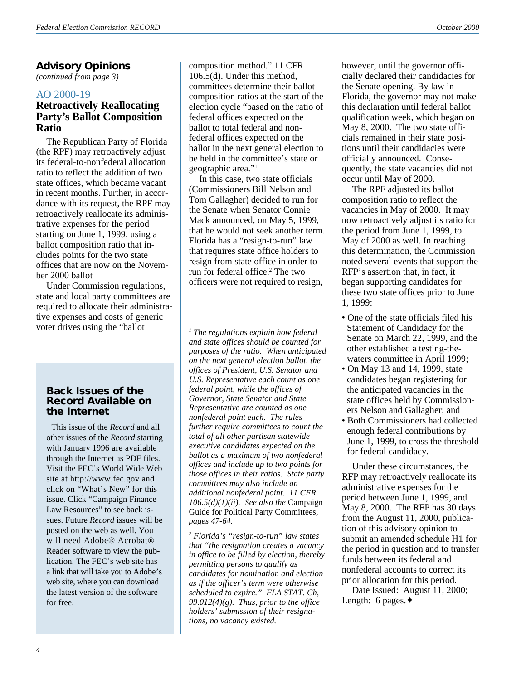### **Advisory Opinions**

*(continued from page 3)*

### [AO 2000-19](http://saos.fec.gov/aodocs/2000-19.pdf)

### **Retroactively Reallocating Party's Ballot Composition Ratio**

The Republican Party of Florida (the RPF) may retroactively adjust its federal-to-nonfederal allocation ratio to reflect the addition of two state offices, which became vacant in recent months. Further, in accordance with its request, the RPF may retroactively reallocate its administrative expenses for the period starting on June 1, 1999, using a ballot composition ratio that includes points for the two state offices that are now on the November 2000 ballot

Under Commission regulations, state and local party committees are required to allocate their administrative expenses and costs of generic voter drives using the "ballot

### **Back Issues of the Record Available on the Internet**

This issue of the *Record* and all other issues of the *Record* starting with January 1996 are available through the Internet as PDF files. Visit the FEC's World Wide Web site at http://www.fec.gov and click on "What's New" for this issue. Click "Campaign Finance Law Resources" to see back issues. Future *Record* issues will be posted on the web as well. You will need Adobe® Acrobat® Reader software to view the publication. The FEC's web site has a link that will take you to Adobe's web site, where you can download the latest version of the software for free.

composition method." 11 CFR 106.5(d). Under this method, committees determine their ballot composition ratios at the start of the election cycle "based on the ratio of federal offices expected on the ballot to total federal and nonfederal offices expected on the ballot in the next general election to be held in the committee's state or geographic area."1

In this case, two state officials (Commissioners Bill Nelson and Tom Gallagher) decided to run for the Senate when Senator Connie Mack announced, on May 5, 1999, that he would not seek another term. Florida has a "resign-to-run" law that requires state office holders to resign from state office in order to run for federal office.2 The two officers were not required to resign,

*1 The regulations explain how federal and state offices should be counted for purposes of the ratio. When anticipated on the next general election ballot, the offices of President, U.S. Senator and U.S. Representative each count as one federal point, while the offices of Governor, State Senator and State Representative are counted as one nonfederal point each. The rules further require committees to count the total of all other partisan statewide executive candidates expected on the ballot as a maximum of two nonfederal offices and include up to two points for those offices in their ratios. State party committees may also include an additional nonfederal point. 11 CFR 106.5(d)(1)(ii). See also the* Campaign Guide for Political Party Committees*, pages 47-64.*

*2 Florida's "resign-to-run" law states that "the resignation creates a vacancy in office to be filled by election, thereby permitting persons to qualify as candidates for nomination and election as if the officer's term were otherwise scheduled to expire." FLA STAT. Ch, 99.012(4)(g). Thus, prior to the office holders' submission of their resignations, no vacancy existed.*

however, until the governor officially declared their candidacies for the Senate opening. By law in Florida, the governor may not make this declaration until federal ballot qualification week, which began on May 8, 2000. The two state officials remained in their state positions until their candidacies were officially announced. Consequently, the state vacancies did not occur until May of 2000.

The RPF adjusted its ballot composition ratio to reflect the vacancies in May of 2000. It may now retroactively adjust its ratio for the period from June 1, 1999, to May of 2000 as well. In reaching this determination, the Commission noted several events that support the RFP's assertion that, in fact, it began supporting candidates for these two state offices prior to June 1, 1999:

- One of the state officials filed his Statement of Candidacy for the Senate on March 22, 1999, and the other established a testing-thewaters committee in April 1999;
- On May 13 and 14, 1999, state candidates began registering for the anticipated vacancies in the state offices held by Commissioners Nelson and Gallagher; and
- Both Commissioners had collected enough federal contributions by June 1, 1999, to cross the threshold for federal candidacy.

Under these circumstances, the RFP may retroactively reallocate its administrative expenses for the period between June 1, 1999, and May 8, 2000. The RFP has 30 days from the August 11, 2000, publication of this advisory opinion to submit an amended schedule H1 for the period in question and to transfer funds between its federal and nonfederal accounts to correct its prior allocation for this period.

Date Issued: August 11, 2000; Length: 6 pages.✦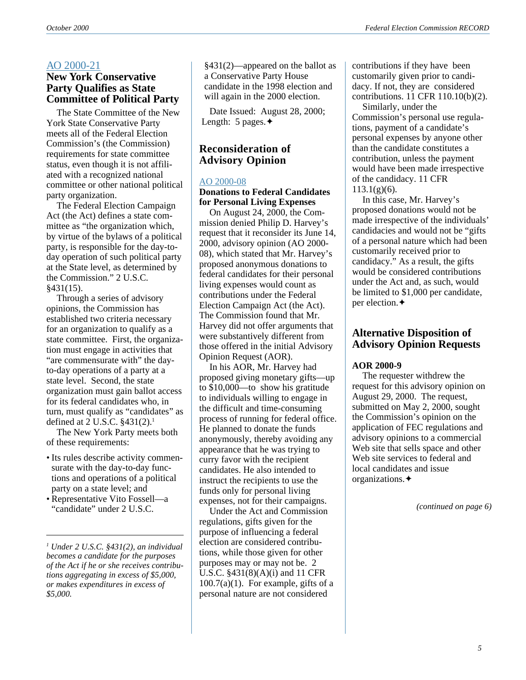#### [AO 2000-21](http://saos.fec.gov/aodocs/2000-21.pdf) **New York Conservative**

## **Party Qualifies as State Committee of Political Party**

The State Committee of the New York State Conservative Party meets all of the Federal Election Commission's (the Commission) requirements for state committee status, even though it is not affiliated with a recognized national committee or other national political party organization.

The Federal Election Campaign Act (the Act) defines a state committee as "the organization which, by virtue of the bylaws of a political party, is responsible for the day-today operation of such political party at the State level, as determined by the Commission." 2 U.S.C. §431(15).

Through a series of advisory opinions, the Commission has established two criteria necessary for an organization to qualify as a state committee. First, the organization must engage in activities that "are commensurate with" the dayto-day operations of a party at a state level. Second, the state organization must gain ballot access for its federal candidates who, in turn, must qualify as "candidates" as defined at 2 U.S.C. §431(2).<sup>1</sup>

The New York Party meets both of these requirements:

- Its rules describe activity commensurate with the day-to-day functions and operations of a political party on a state level; and
- Representative Vito Fossell—a "candidate" under 2 U.S.C.

*1 Under 2 U.S.C. §431(2), an individual becomes a candidate for the purposes of the Act if he or she receives contributions aggregating in excess of \$5,000, or makes expenditures in excess of \$5,000.*

§431(2)—appeared on the ballot as a Conservative Party House candidate in the 1998 election and will again in the 2000 election.

Date Issued: August 28, 2000; Length: 5 pages.✦

## **Reconsideration of Advisory Opinion**

#### [AO 2000-08](http://saos.fec.gov/aodocs/2000-08.pdf)

#### **Donations to Federal Candidates for Personal Living Expenses**

On August 24, 2000, the Commission denied Philip D. Harvey's request that it reconsider its June 14, 2000, advisory opinion (AO 2000- 08), which stated that Mr. Harvey's proposed anonymous donations to federal candidates for their personal living expenses would count as contributions under the Federal Election Campaign Act (the Act). The Commission found that Mr. Harvey did not offer arguments that were substantively different from those offered in the initial Advisory Opinion Request (AOR).

In his AOR, Mr. Harvey had proposed giving monetary gifts—up to \$10,000—to show his gratitude to individuals willing to engage in the difficult and time-consuming process of running for federal office. He planned to donate the funds anonymously, thereby avoiding any appearance that he was trying to curry favor with the recipient candidates. He also intended to instruct the recipients to use the funds only for personal living expenses, not for their campaigns.

Under the Act and Commission regulations, gifts given for the purpose of influencing a federal election are considered contributions, while those given for other purposes may or may not be. 2 U.S.C. §431(8)(A)(i) and 11 CFR  $100.7(a)(1)$ . For example, gifts of a personal nature are not considered

contributions if they have been customarily given prior to candidacy. If not, they are considered contributions. 11 CFR 110.10(b)(2).

Similarly, under the Commission's personal use regulations, payment of a candidate's personal expenses by anyone other than the candidate constitutes a contribution, unless the payment would have been made irrespective of the candidacy. 11 CFR  $113.1(g)(6)$ .

In this case, Mr. Harvey's proposed donations would not be made irrespective of the individuals' candidacies and would not be "gifts of a personal nature which had been customarily received prior to candidacy." As a result, the gifts would be considered contributions under the Act and, as such, would be limited to \$1,000 per candidate, per election.✦

### **Alternative Disposition of Advisory Opinion Requests**

#### **AOR 2000-9**

The requester withdrew the request for this advisory opinion on August 29, 2000. The request, submitted on May 2, 2000, sought the Commission's opinion on the application of FEC regulations and advisory opinions to a commercial Web site that sells space and other Web site services to federal and local candidates and issue organizations.✦

*(continued on page 6)*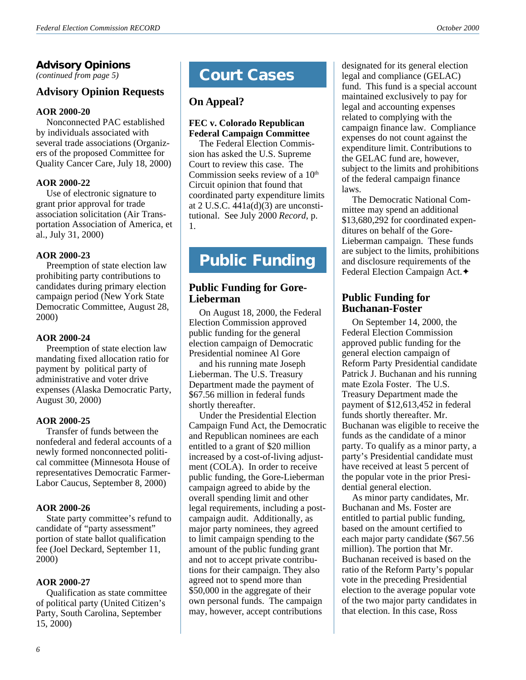## **Advisory Opinions**

*(continued from page 5)*

## **Advisory Opinion Requests**

#### **AOR 2000-20**

Nonconnected PAC established by individuals associated with several trade associations (Organizers of the proposed Committee for Quality Cancer Care, July 18, 2000)

#### **AOR 2000-22**

Use of electronic signature to grant prior approval for trade association solicitation (Air Transportation Association of America, et al., July 31, 2000)

#### **AOR 2000-23**

Preemption of state election law prohibiting party contributions to candidates during primary election campaign period (New York State Democratic Committee, August 28, 2000)

#### **AOR 2000-24**

Preemption of state election law mandating fixed allocation ratio for payment by political party of administrative and voter drive expenses (Alaska Democratic Party, August 30, 2000)

#### **AOR 2000-25**

Transfer of funds between the nonfederal and federal accounts of a newly formed nonconnected political committee (Minnesota House of representatives Democratic Farmer-Labor Caucus, September 8, 2000)

#### **AOR 2000-26**

State party committee's refund to candidate of "party assessment" portion of state ballot qualification fee (Joel Deckard, September 11, 2000)

#### **AOR 2000-27**

Qualification as state committee of political party (United Citizen's Party, South Carolina, September 15, 2000)

## **Court Cases**

## **On Appeal?**

#### **FEC v. Colorado Republican Federal Campaign Committee**

The Federal Election Commission has asked the U.S. Supreme Court to review this case. The Commission seeks review of a  $10<sup>th</sup>$ Circuit opinion that found that coordinated party expenditure limits at 2 U.S.C.  $\overline{441a(d)(3)}$  are unconstitutional. See July 2000 *Record*, p. 1.

## **Public Funding**

### **Public Funding for Gore-Lieberman**

On August 18, 2000, the Federal Election Commission approved public funding for the general election campaign of Democratic Presidential nominee Al Gore

and his running mate Joseph Lieberman. The U.S. Treasury Department made the payment of \$67.56 million in federal funds shortly thereafter.

Under the Presidential Election Campaign Fund Act, the Democratic and Republican nominees are each entitled to a grant of \$20 million increased by a cost-of-living adjustment (COLA). In order to receive public funding, the Gore-Lieberman campaign agreed to abide by the overall spending limit and other legal requirements, including a postcampaign audit. Additionally, as major party nominees, they agreed to limit campaign spending to the amount of the public funding grant and not to accept private contributions for their campaign. They also agreed not to spend more than \$50,000 in the aggregate of their own personal funds. The campaign may, however, accept contributions

designated for its general election legal and compliance (GELAC) fund. This fund is a special account maintained exclusively to pay for legal and accounting expenses related to complying with the campaign finance law. Compliance expenses do not count against the expenditure limit. Contributions to the GELAC fund are, however, subject to the limits and prohibitions of the federal campaign finance laws.

The Democratic National Committee may spend an additional \$13,680,292 for coordinated expenditures on behalf of the Gore-Lieberman campaign. These funds are subject to the limits, prohibitions and disclosure requirements of the Federal Election Campaign Act.✦

## **Public Funding for Buchanan-Foster**

On September 14, 2000, the Federal Election Commission approved public funding for the general election campaign of Reform Party Presidential candidate Patrick J. Buchanan and his running mate Ezola Foster. The U.S. Treasury Department made the payment of \$12,613,452 in federal funds shortly thereafter. Mr. Buchanan was eligible to receive the funds as the candidate of a minor party. To qualify as a minor party, a party's Presidential candidate must have received at least 5 percent of the popular vote in the prior Presidential general election.

As minor party candidates, Mr. Buchanan and Ms. Foster are entitled to partial public funding, based on the amount certified to each major party candidate (\$67.56 million). The portion that Mr. Buchanan received is based on the ratio of the Reform Party's popular vote in the preceding Presidential election to the average popular vote of the two major party candidates in that election. In this case, Ross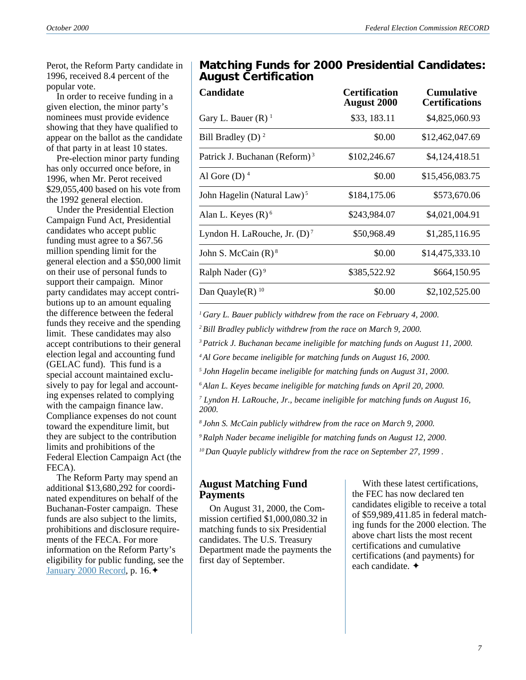Perot, the Reform Party candidate in 1996, received 8.4 percent of the popular vote.

In order to receive funding in a given election, the minor party's nominees must provide evidence showing that they have qualified to appear on the ballot as the candidate of that party in at least 10 states.

Pre-election minor party funding has only occurred once before, in 1996, when Mr. Perot received \$29,055,400 based on his vote from the 1992 general election.

Under the Presidential Election Campaign Fund Act, Presidential candidates who accept public funding must agree to a \$67.56 million spending limit for the general election and a \$50,000 limit on their use of personal funds to support their campaign. Minor party candidates may accept contributions up to an amount equaling the difference between the federal funds they receive and the spending limit. These candidates may also accept contributions to their general election legal and accounting fund (GELAC fund). This fund is a special account maintained exclusively to pay for legal and accounting expenses related to complying with the campaign finance law. Compliance expenses do not count toward the expenditure limit, but they are subject to the contribution limits and prohibitions of the Federal Election Campaign Act (the FECA).

The Reform Party may spend an additional \$13,680,292 for coordinated expenditures on behalf of the Buchanan-Foster campaign. These funds are also subject to the limits, prohibitions and disclosure requirements of the FECA. For more information on the Reform Party's eligibility for public funding, see the [January 2000 Record](http://www.fec.gov/pdf/jan00.pdf), p. 16.✦

## **Matching Funds for 2000 Presidential Candidates: August Certification**

| <b>Certification</b><br><b>August 2000</b> | <b>Cumulative</b><br><b>Certifications</b> |
|--------------------------------------------|--------------------------------------------|
| \$33, 183.11                               | \$4,825,060.93                             |
| \$0.00                                     | \$12,462,047.69                            |
| \$102,246.67                               | \$4,124,418.51                             |
| \$0.00                                     | \$15,456,083.75                            |
| \$184,175.06                               | \$573,670.06                               |
| \$243,984.07                               | \$4,021,004.91                             |
| \$50,968.49                                | \$1,285,116.95                             |
| \$0.00                                     | \$14,475,333.10                            |
| \$385,522.92                               | \$664,150.95                               |
| \$0.00                                     | \$2,102,525.00                             |
|                                            |                                            |

*1 Gary L. Bauer publicly withdrew from the race on February 4, 2000.*

*2 Bill Bradley publicly withdrew from the race on March 9, 2000.*

*3 Patrick J. Buchanan became ineligible for matching funds on August 11, 2000.*

*4 Al Gore became ineligible for matching funds on August 16, 2000.*

*5 John Hagelin became ineligible for matching funds on August 31, 2000.*

*6 Alan L. Keyes became ineligible for matching funds on April 20, 2000.*

*7 Lyndon H. LaRouche, Jr., became ineligible for matching funds on August 16, 2000.*

*8 John S. McCain publicly withdrew from the race on March 9, 2000.*

*9 Ralph Nader became ineligible for matching funds on August 12, 2000.*

*10 Dan Quayle publicly withdrew from the race on September 27, 1999 .*

### **August Matching Fund Payments**

On August 31, 2000, the Commission certified \$1,000,080.32 in matching funds to six Presidential candidates. The U.S. Treasury Department made the payments the first day of September.

With these latest certifications, the FEC has now declared ten candidates eligible to receive a total of \$59,989,411.85 in federal matching funds for the 2000 election. The above chart lists the most recent certifications and cumulative certifications (and payments) for each candidate. ✦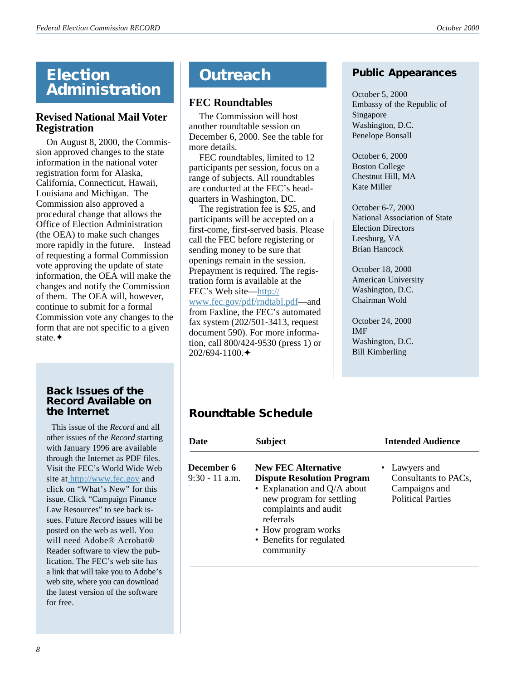## **Election Administration**

## **Revised National Mail Voter Registration**

On August 8, 2000, the Commission approved changes to the state information in the national voter registration form for Alaska, California, Connecticut, Hawaii, Louisiana and Michigan. The Commission also approved a procedural change that allows the Office of Election Administration (the OEA) to make such changes more rapidly in the future. Instead of requesting a formal Commission vote approving the update of state information, the OEA will make the changes and notify the Commission of them. The OEA will, however, continue to submit for a formal Commission vote any changes to the form that are not specific to a given state.✦

#### **Back Issues of the Record Available on the Internet**

This issue of the *Record* and all other issues of the *Record* starting with January 1996 are available through the Internet as PDF files. Visit the FEC's World Wide Web site at [http://www.fec.gov](http://www.fec.gov/) and click on "What's New" for this issue. Click "Campaign Finance Law Resources" to see back issues. Future *Record* issues will be posted on the web as well. You will need Adobe® Acrobat® Reader software to view the publication. The FEC's web site has a link that will take you to Adobe's web site, where you can download the latest version of the software for free.

## **Outreach**

## **FEC Roundtables**

The Commission will host another roundtable session on December 6, 2000. See the table for more details.

FEC roundtables, limited to 12 participants per session, focus on a range of subjects. All roundtables are conducted at the FEC's headquarters in Washington, DC.

The registration fee is \$25, and participants will be accepted on a first-come, first-served basis. Please call the FEC before registering or sending money to be sure that openings remain in the session. Prepayment is required. The registration form is available at the FEC's Web site—[http://](http://www.fec.gov/pdf/rndtabl.pdf) [www.fec.gov/pdf/rndtabl.pdf—](http://www.fec.gov/pdf/rndtabl.pdf)and from Faxline, the FEC's automated fax system (202/501-3413, request document 590). For more information, call 800/424-9530 (press 1) or 202/694-1100.✦

## **Public Appearances**

October 5, 2000 Embassy of the Republic of Singapore Washington, D.C. Penelope Bonsall

October 6, 2000 Boston College Chestnut Hill, MA Kate Miller

October 6-7, 2000 National Association of State Election Directors Leesburg, VA Brian Hancock

October 18, 2000 American University Washington, D.C. Chairman Wold

October 24, 2000 IMF Washington, D.C. Bill Kimberling

## **Roundtable Schedule**

| Date                           | <b>Subject</b>                                                                                                                                                                                                                    | <b>Intended Audience</b>                                                           |  |
|--------------------------------|-----------------------------------------------------------------------------------------------------------------------------------------------------------------------------------------------------------------------------------|------------------------------------------------------------------------------------|--|
| December 6<br>$9:30 - 11$ a.m. | <b>New FEC Alternative</b><br><b>Dispute Resolution Program</b><br>• Explanation and $Q/A$ about<br>new program for settling<br>complaints and audit<br>referrals<br>• How program works<br>• Benefits for regulated<br>community | • Lawyers and<br>Consultants to PACs,<br>Campaigns and<br><b>Political Parties</b> |  |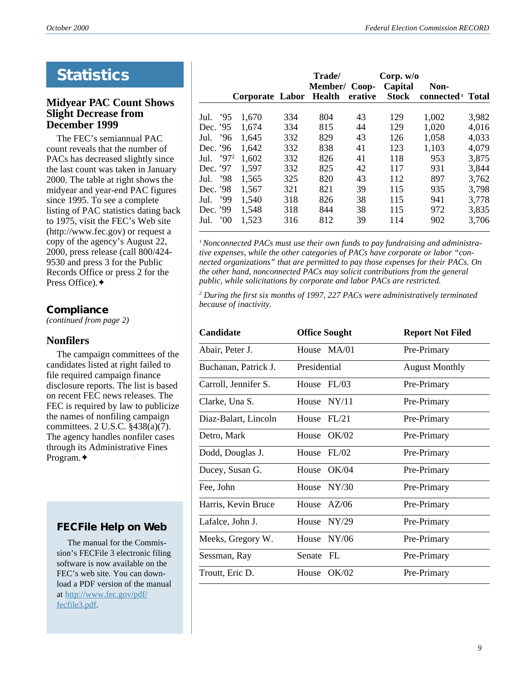*9*

## **Statistics**

### **Midyear PAC Count Shows Slight Decrease from December 1999**

The FEC's semiannual PAC count reveals that the number of PACs has decreased slightly since the last count was taken in January 2000. The table at right shows the midyear and year-end PAC figures since 1995. To see a complete listing of PAC statistics dating back to 1975, visit the FEC's Web site (http://www.fec.gov) or request a copy of the agency's August 22, 2000, press release (call 800/424- 9530 and press 3 for the Public Records Office or press 2 for the Press Office).✦

## **Compliance**

*(continued from page 2)*

### **Nonfilers**

The campaign committees of the candidates listed at right failed to file required campaign finance disclosure reports. The list is based on recent FEC news releases. The FEC is required by law to publicize the names of nonfiling campaign committees. 2 U.S.C. §438(a)(7). The agency handles nonfiler cases through its Administrative Fines Program.✦

## **FECFile Help on Web**

 The manual for the Commission's FECFile 3 electronic filing software is now available on the FEC's web site. You can download a PDF version of the manual at http://www.fec.gov/pdf/ fecfile3.pdf.

|                      | Corporate Labor |     | Trade/<br>Member/ Coop-<br><b>Health</b> | erative | Corp. $w/o$<br>Capital<br><b>Stock</b> | Non-<br>connected $1$ | <b>Total</b> |
|----------------------|-----------------|-----|------------------------------------------|---------|----------------------------------------|-----------------------|--------------|
|                      |                 |     |                                          |         |                                        |                       |              |
| '95<br>Jul.          | 1,670           | 334 | 804                                      | 43      | 129                                    | 1,002                 | 3,982        |
| Dec. '95             | 1,674           | 334 | 815                                      | 44      | 129                                    | 1,020                 | 4,016        |
| .96<br>Jul.          | 1,645           | 332 | 829                                      | 43      | 126                                    | 1,058                 | 4,033        |
| Dec. '96             | 1,642           | 332 | 838                                      | 41      | 123                                    | 1,103                 | 4,079        |
| .972<br>Jul.         | 1,602           | 332 | 826                                      | 41      | 118                                    | 953                   | 3,875        |
| Dec. '97             | 1,597           | 332 | 825                                      | 42      | 117                                    | 931                   | 3,844        |
| - 98<br>Jul.         | 1,565           | 325 | 820                                      | 43      | 112                                    | 897                   | 3,762        |
| Dec. '98             | 1,567           | 321 | 821                                      | 39      | 115                                    | 935                   | 3,798        |
| ,99<br>Jul.          | 1,540           | 318 | 826                                      | 38      | 115                                    | 941                   | 3,778        |
| Dec. '99             | 1,548           | 318 | 844                                      | 38      | 115                                    | 972                   | 3,835        |
| $00^{\circ}$<br>Jul. | 1,523           | 316 | 812                                      | 39      | 114                                    | 902                   | 3,706        |

<sup>1</sup> Nonconnected PACs must use their own funds to pay fundraising and administra*tive expenses, while the other categories of PACs have corporate or labor "connected organizations" that are permitted to pay those expenses for their PACs. On the other hand, nonconnected PACs may solicit contributions from the general public, while solicitations by corporate and labor PACs are restricted.*

*2 During the first six months of 1997, 227 PACs were administratively terminated because of inactivity.*

| <b>Candidate</b>     | <b>Office Sought</b> | <b>Report Not Filed</b> |
|----------------------|----------------------|-------------------------|
| Abair, Peter J.      | House MA/01          | Pre-Primary             |
| Buchanan, Patrick J. | Presidential         | <b>August Monthly</b>   |
| Carroll, Jennifer S. | House FL/03          | Pre-Primary             |
| Clarke, Una S.       | House $NY/11$        | Pre-Primary             |
| Diaz-Balart, Lincoln | House $FI/21$        | Pre-Primary             |
| Detro, Mark          | House OK/02          | Pre-Primary             |
| Dodd, Douglas J.     | House $FL/02$        | Pre-Primary             |
| Ducey, Susan G.      | House OK/04          | Pre-Primary             |
| Fee, John            | House $NY/30$        | Pre-Primary             |
| Harris, Kevin Bruce  | House $AZ/06$        | Pre-Primary             |
| Lafalce, John J.     | House $NY/29$        | Pre-Primary             |
| Meeks, Gregory W.    | House NY/06          | Pre-Primary             |
| Sessman, Ray         | Senate FL            | Pre-Primary             |
| Troutt, Eric D.      | House OK/02          | Pre-Primary             |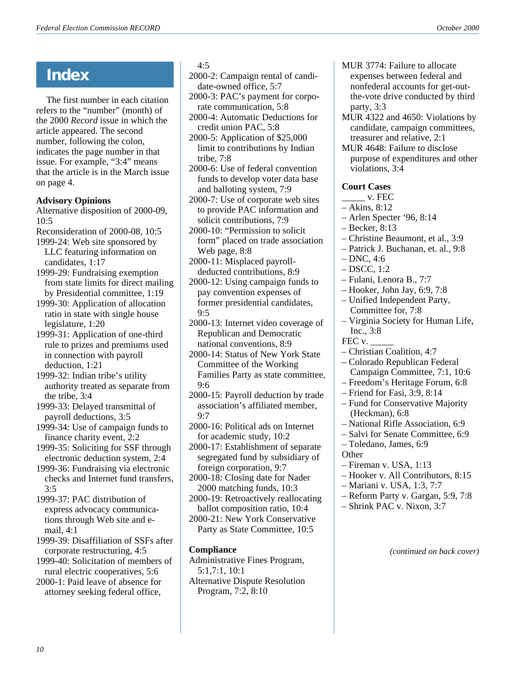## **Index**

The first number in each citation refers to the "number" (month) of the 2000 *Record* issue in which the article appeared. The second number, following the colon, indicates the page number in that issue. For example, "3:4" means that the article is in the March issue on page 4.

### **Advisory Opinions**

Alternative disposition of 2000-09, 10:5

- Reconsideration of 2000-08, 10:5
- 1999-24: Web site sponsored by LLC featuring information on candidates, 1:17
- 1999-29: Fundraising exemption from state limits for direct mailing by Presidential committee, 1:19
- 1999-30: Application of allocation ratio in state with single house legislature, 1:20
- 1999-31: Application of one-third rule to prizes and premiums used in connection with payroll deduction, 1:21
- 1999-32: Indian tribe's utility authority treated as separate from the tribe, 3:4
- 1999-33: Delayed transmittal of payroll deductions, 3:5
- 1999-34: Use of campaign funds to finance charity event, 2:2
- 1999-35: Soliciting for SSF through electronic deduction system, 2:4
- 1999-36: Fundraising via electronic checks and Internet fund transfers, 3:5
- 1999-37: PAC distribution of express advocacy communications through Web site and email, 4:1
- 1999-39: Disaffiliation of SSFs after corporate restructuring, 4:5
- 1999-40: Solicitation of members of rural electric cooperatives, 5:6
- 2000-1: Paid leave of absence for attorney seeking federal office,

#### 4:5

- 2000-2: Campaign rental of candidate-owned office, 5:7
- 2000-3: PAC's payment for corporate communication, 5:8
- 2000-4: Automatic Deductions for credit union PAC, 5:8
- 2000-5: Application of \$25,000 limit to contributions by Indian tribe, 7:8
- 2000-6: Use of federal convention funds to develop voter data base and balloting system, 7:9
- 2000-7: Use of corporate web sites to provide PAC information and solicit contributions, 7:9
- 2000-10: "Permission to solicit form" placed on trade association Web page, 8:8
- 2000-11: Misplaced payrolldeducted contributions, 8:9
- 2000-12: Using campaign funds to pay convention expenses of former presidential candidates, 9:5
- 2000-13: Internet video coverage of Republican and Democratic national conventions, 8:9
- 2000-14: Status of New York State Committee of the Working Families Party as state committee, 9:6
- 2000-15: Payroll deduction by trade association's affiliated member, 9:7
- 2000-16: Political ads on Internet for academic study, 10:2
- 2000-17: Establishment of separate segregated fund by subsidiary of foreign corporation, 9:7

2000-18: Closing date for Nader 2000 matching funds, 10:3

- 2000-19: Retroactively reallocating ballot composition ratio, 10:4
- 2000-21: New York Conservative Party as State Committee, 10:5

## **Compliance**

Administrative Fines Program, 5:1,7:1, 10:1 Alternative Dispute Resolution Program, 7:2, 8:10

- MUR 3774: Failure to allocate expenses between federal and nonfederal accounts for get-outthe-vote drive conducted by third party, 3:3
- MUR 4322 and 4650: Violations by candidate, campaign committees, treasurer and relative, 2:1
- MUR 4648: Failure to disclose purpose of expenditures and other violations, 3:4

## **Court Cases**

- \_\_\_\_\_ v. FEC
- Akins, 8:12
- Arlen Specter '96, 8:14
- Becker, 8:13
- Christine Beaumont, et al., 3:9
- Patrick J. Buchanan, et. al., 9:8
- $-$  DNC, 4:6
- DSCC, 1:2
- Fulani, Lenora B., 7:7
- Hooker, John Jay, 6:9, 7:8
- Unified Independent Party, Committee for, 7:8
- Virginia Society for Human Life, Inc., 3:8
- FEC v.
- Christian Coalition, 4:7
- Colorado Republican Federal Campaign Committee, 7:1, 10:6
- Freedom's Heritage Forum, 6:8
- Friend for Fasi, 3:9, 8:14
- Fund for Conservative Majority (Heckman), 6:8
- National Rifle Association, 6:9
- Salvi for Senate Committee, 6:9
- Toledano, James, 6:9
- **Other**
- Fireman v. USA, 1:13
- Hooker v. All Contributors, 8:15
- Mariani v. USA, 1:3, 7:7
- Reform Party v. Gargan, 5:9, 7:8
- Shrink PAC v. Nixon, 3:7

*(continued on back cover)*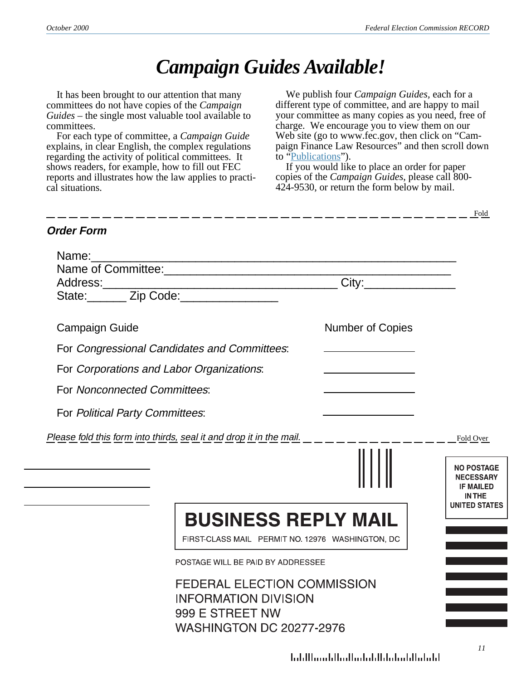$\frac{\text{Fold}}{\text{Fold}}$ 

# *Campaign Guides Available!*

It has been brought to our attention that many committees do not have copies of the *Campaign Guides* – the single most valuable tool available to committees.

For each type of committee, a *Campaign Guide* explains, in clear English, the complex regulations regarding the activity of political committees. It shows readers, for example, how to fill out FEC reports and illustrates how the law applies to practical situations.

We publish four *Campaign Guides,* each for a different type of committee, and are happy to mail your committee as many copies as you need, free of charge. We encourage you to view them on our Web site (go to www.fec.gov, then click on "Campaign Finance Law Resources" and then scroll down to ["Publications](http://www.fec.gov/pages/infosub2.htm#anchor436146)").

If you would like to place an order for paper copies of the *Campaign Guides*, please call 800- 424-9530, or return the form below by mail.

———————————————

## **Order Form**

| Name:                                                               | <u> 1989 - Johann John Barn, mars eta bainar eta bainar eta baina eta baina eta baina eta baina eta baina eta ba</u>    |                                                      |                                                                            |
|---------------------------------------------------------------------|-------------------------------------------------------------------------------------------------------------------------|------------------------------------------------------|----------------------------------------------------------------------------|
|                                                                     |                                                                                                                         |                                                      |                                                                            |
|                                                                     |                                                                                                                         |                                                      |                                                                            |
|                                                                     |                                                                                                                         |                                                      |                                                                            |
| <b>Campaign Guide</b>                                               |                                                                                                                         | <b>Number of Copies</b>                              |                                                                            |
| For Congressional Candidates and Committees:                        |                                                                                                                         |                                                      |                                                                            |
| For Corporations and Labor Organizations:                           |                                                                                                                         |                                                      |                                                                            |
| For Nonconnected Committees:                                        |                                                                                                                         |                                                      |                                                                            |
| For Political Party Committees:                                     |                                                                                                                         |                                                      |                                                                            |
| Please fold this form into thirds, seal it and drop it in the mail. |                                                                                                                         |                                                      | Fold Over                                                                  |
|                                                                     |                                                                                                                         |                                                      | <b>NO POSTAGE</b><br><b>NECESSARY</b><br><b>IF MAILED</b><br><b>IN THE</b> |
|                                                                     | <b>BUSINESS REPLY MAIL</b><br>FIRST-CLASS MAIL PERMIT NO. 12976 WASHINGTON, DC                                          |                                                      | <b>UNITED STATES</b>                                                       |
|                                                                     | POSTAGE WILL BE PAID BY ADDRESSEE                                                                                       |                                                      |                                                                            |
|                                                                     | <b>FEDERAL ELECTION COMMISSION</b><br><b>INFORMATION DIVISION</b><br>999 E STREET NW<br><b>WASHINGTON DC 20277-2976</b> |                                                      |                                                                            |
|                                                                     |                                                                                                                         | البابيا ببالبارين لبارا باران استاليا ستبالا اتباريا | 11                                                                         |